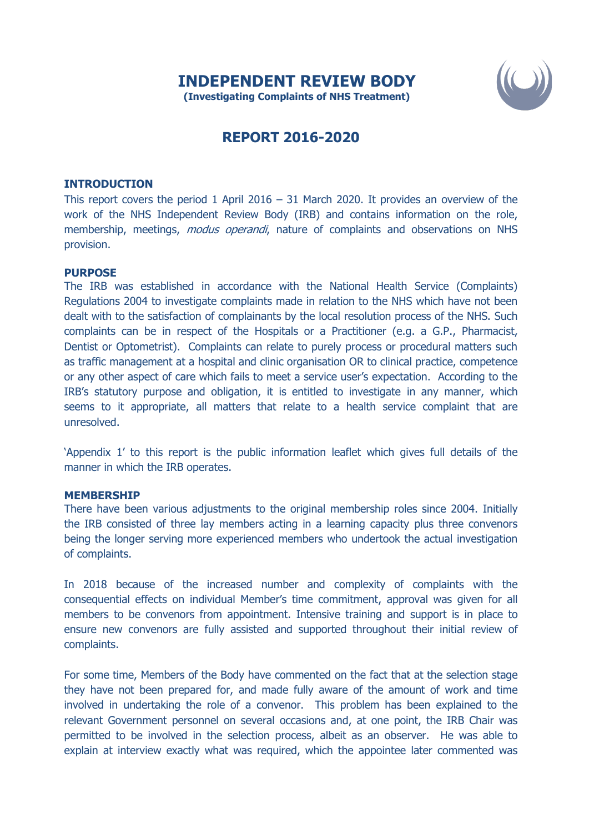

## **REPORT 2016-2020**

## **INTRODUCTION**

This report covers the period 1 April 2016 – 31 March 2020. It provides an overview of the work of the NHS Independent Review Body (IRB) and contains information on the role, membership, meetings, *modus operandi*, nature of complaints and observations on NHS provision.

## **PURPOSE**

The IRB was established in accordance with the National Health Service (Complaints) Regulations 2004 to investigate complaints made in relation to the NHS which have not been dealt with to the satisfaction of complainants by the local resolution process of the NHS. Such complaints can be in respect of the Hospitals or a Practitioner (e.g. a G.P., Pharmacist, Dentist or Optometrist). Complaints can relate to purely process or procedural matters such as traffic management at a hospital and clinic organisation OR to clinical practice, competence or any other aspect of care which fails to meet a service user's expectation. According to the IRB's statutory purpose and obligation, it is entitled to investigate in any manner, which seems to it appropriate, all matters that relate to a health service complaint that are unresolved.

'Appendix 1' to this report is the public information leaflet which gives full details of the manner in which the IRB operates.

## **MEMBERSHIP**

There have been various adjustments to the original membership roles since 2004. Initially the IRB consisted of three lay members acting in a learning capacity plus three convenors being the longer serving more experienced members who undertook the actual investigation of complaints.

In 2018 because of the increased number and complexity of complaints with the consequential effects on individual Member's time commitment, approval was given for all members to be convenors from appointment. Intensive training and support is in place to ensure new convenors are fully assisted and supported throughout their initial review of complaints.

For some time, Members of the Body have commented on the fact that at the selection stage they have not been prepared for, and made fully aware of the amount of work and time involved in undertaking the role of a convenor. This problem has been explained to the relevant Government personnel on several occasions and, at one point, the IRB Chair was permitted to be involved in the selection process, albeit as an observer. He was able to explain at interview exactly what was required, which the appointee later commented was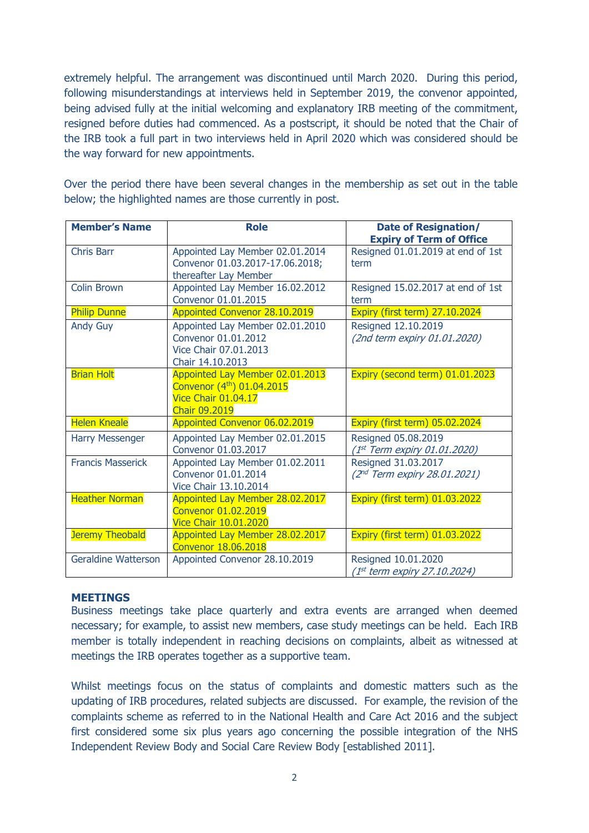extremely helpful. The arrangement was discontinued until March 2020. During this period, following misunderstandings at interviews held in September 2019, the convenor appointed, being advised fully at the initial welcoming and explanatory IRB meeting of the commitment, resigned before duties had commenced. As a postscript, it should be noted that the Chair of the IRB took a full part in two interviews held in April 2020 which was considered should be the way forward for new appointments.

Over the period there have been several changes in the membership as set out in the table below; the highlighted names are those currently in post.

| <b>Member's Name</b>       | <b>Role</b>                                                                                                 | <b>Date of Resignation/</b><br><b>Expiry of Term of Office</b>  |
|----------------------------|-------------------------------------------------------------------------------------------------------------|-----------------------------------------------------------------|
| Chris Barr                 | Appointed Lay Member 02.01.2014<br>Convenor 01.03.2017-17.06.2018;<br>thereafter Lay Member                 | Resigned 01.01.2019 at end of 1st<br>term                       |
| <b>Colin Brown</b>         | Appointed Lay Member 16.02.2012<br>Convenor 01.01.2015                                                      | Resigned 15.02.2017 at end of 1st<br>term                       |
| <b>Philip Dunne</b>        | <b>Appointed Convenor 28.10.2019</b>                                                                        | Expiry (first term) 27.10.2024                                  |
| <b>Andy Guy</b>            | Appointed Lay Member 02.01.2010<br>Convenor 01.01.2012<br>Vice Chair 07.01.2013<br>Chair 14.10.2013         | Resigned 12.10.2019<br>(2nd term expiry 01.01.2020)             |
| <b>Brian Holt</b>          | Appointed Lay Member 02.01.2013<br>Convenor (4th) 01.04.2015<br>Vice Chair 01.04.17<br><b>Chair 09,2019</b> | Expiry (second term) 01.01.2023                                 |
| <b>Helen Kneale</b>        | Appointed Convenor 06.02.2019                                                                               | Expiry (first term) 05.02.2024                                  |
| <b>Harry Messenger</b>     | Appointed Lay Member 02.01.2015<br>Convenor 01.03.2017                                                      | Resigned 05.08.2019<br>(1st Term expiry 01.01.2020)             |
| <b>Francis Masserick</b>   | Appointed Lay Member 01.02.2011<br>Convenor 01.01.2014<br>Vice Chair 13.10.2014                             | Resigned 31.03.2017<br>(2 <sup>nd</sup> Term expiry 28.01.2021) |
| <b>Heather Norman</b>      | Appointed Lay Member 28.02.2017<br>Convenor 01.02.2019<br><b>Vice Chair 10.01.2020</b>                      | Expiry (first term) 01.03.2022                                  |
| <b>Jeremy Theobald</b>     | Appointed Lay Member 28.02.2017<br><b>Convenor 18.06.2018</b>                                               | Expiry (first term) 01.03.2022                                  |
| <b>Geraldine Watterson</b> | Appointed Convenor 28.10.2019                                                                               | Resigned 10.01.2020<br>(1st term expiry 27.10.2024)             |

## **MEETINGS**

Business meetings take place quarterly and extra events are arranged when deemed necessary; for example, to assist new members, case study meetings can be held. Each IRB member is totally independent in reaching decisions on complaints, albeit as witnessed at meetings the IRB operates together as a supportive team.

Whilst meetings focus on the status of complaints and domestic matters such as the updating of IRB procedures, related subjects are discussed. For example, the revision of the complaints scheme as referred to in the National Health and Care Act 2016 and the subject first considered some six plus years ago concerning the possible integration of the NHS Independent Review Body and Social Care Review Body [established 2011].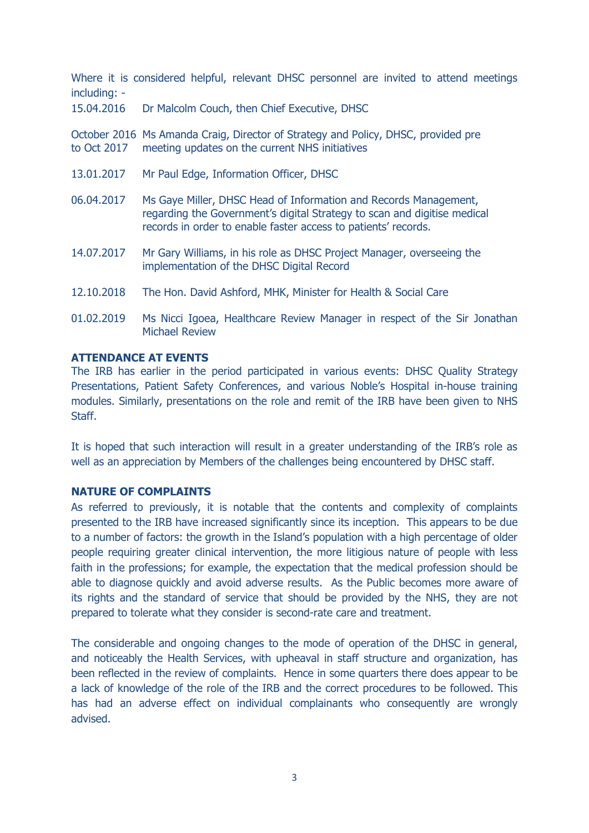Where it is considered helpful, relevant DHSC personnel are invited to attend meetings including: -

15.04.2016 Dr Malcolm Couch, then Chief Executive, DHSC

October 2016 Ms Amanda Craig, Director of Strategy and Policy, DHSC, provided pre to Oct 2017 meeting updates on the current NHS initiatives

- 13.01.2017 Mr Paul Edge, Information Officer, DHSC
- 06.04.2017 Ms Gaye Miller, DHSC Head of Information and Records Management, regarding the Government's digital Strategy to scan and digitise medical records in order to enable faster access to patients' records.
- 14.07.2017 Mr Gary Williams, in his role as DHSC Project Manager, overseeing the implementation of the DHSC Digital Record
- 12.10.2018 The Hon. David Ashford, MHK, Minister for Health & Social Care
- 01.02.2019 Ms Nicci Igoea, Healthcare Review Manager in respect of the Sir Jonathan Michael Review

## **ATTENDANCE AT EVENTS**

The IRB has earlier in the period participated in various events: DHSC Quality Strategy Presentations, Patient Safety Conferences, and various Noble's Hospital in-house training modules. Similarly, presentations on the role and remit of the IRB have been given to NHS Staff.

It is hoped that such interaction will result in a greater understanding of the IRB's role as well as an appreciation by Members of the challenges being encountered by DHSC staff.

## **NATURE OF COMPLAINTS**

As referred to previously, it is notable that the contents and complexity of complaints presented to the IRB have increased significantly since its inception. This appears to be due to a number of factors: the growth in the Island's population with a high percentage of older people requiring greater clinical intervention, the more litigious nature of people with less faith in the professions; for example, the expectation that the medical profession should be able to diagnose quickly and avoid adverse results. As the Public becomes more aware of its rights and the standard of service that should be provided by the NHS, they are not prepared to tolerate what they consider is second-rate care and treatment.

The considerable and ongoing changes to the mode of operation of the DHSC in general, and noticeably the Health Services, with upheaval in staff structure and organization, has been reflected in the review of complaints. Hence in some quarters there does appear to be a lack of knowledge of the role of the IRB and the correct procedures to be followed. This has had an adverse effect on individual complainants who consequently are wrongly advised.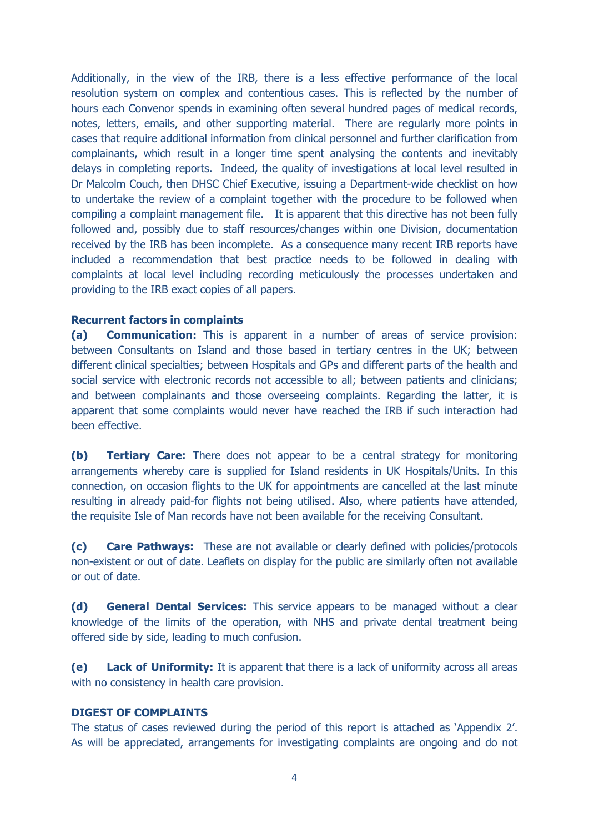Additionally, in the view of the IRB, there is a less effective performance of the local resolution system on complex and contentious cases. This is reflected by the number of hours each Convenor spends in examining often several hundred pages of medical records, notes, letters, emails, and other supporting material. There are regularly more points in cases that require additional information from clinical personnel and further clarification from complainants, which result in a longer time spent analysing the contents and inevitably delays in completing reports. Indeed, the quality of investigations at local level resulted in Dr Malcolm Couch, then DHSC Chief Executive, issuing a Department-wide checklist on how to undertake the review of a complaint together with the procedure to be followed when compiling a complaint management file. It is apparent that this directive has not been fully followed and, possibly due to staff resources/changes within one Division, documentation received by the IRB has been incomplete. As a consequence many recent IRB reports have included a recommendation that best practice needs to be followed in dealing with complaints at local level including recording meticulously the processes undertaken and providing to the IRB exact copies of all papers.

## **Recurrent factors in complaints**

**(a) Communication:** This is apparent in a number of areas of service provision: between Consultants on Island and those based in tertiary centres in the UK; between different clinical specialties; between Hospitals and GPs and different parts of the health and social service with electronic records not accessible to all; between patients and clinicians; and between complainants and those overseeing complaints. Regarding the latter, it is apparent that some complaints would never have reached the IRB if such interaction had been effective.

**(b) Tertiary Care:** There does not appear to be a central strategy for monitoring arrangements whereby care is supplied for Island residents in UK Hospitals/Units. In this connection, on occasion flights to the UK for appointments are cancelled at the last minute resulting in already paid-for flights not being utilised. Also, where patients have attended, the requisite Isle of Man records have not been available for the receiving Consultant.

**(c) Care Pathways:** These are not available or clearly defined with policies/protocols non-existent or out of date. Leaflets on display for the public are similarly often not available or out of date.

**(d) General Dental Services:** This service appears to be managed without a clear knowledge of the limits of the operation, with NHS and private dental treatment being offered side by side, leading to much confusion.

**(e) Lack of Uniformity:** It is apparent that there is a lack of uniformity across all areas with no consistency in health care provision.

## **DIGEST OF COMPLAINTS**

The status of cases reviewed during the period of this report is attached as 'Appendix 2'. As will be appreciated, arrangements for investigating complaints are ongoing and do not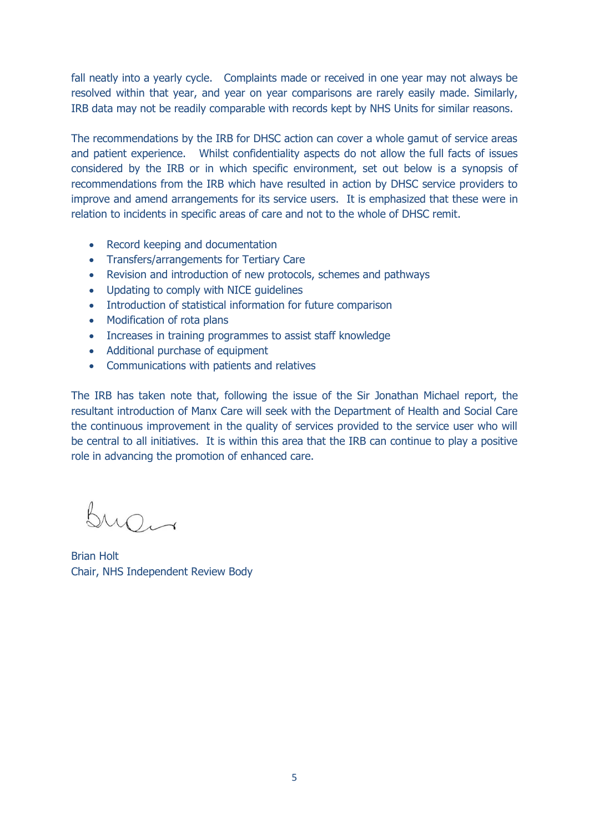fall neatly into a yearly cycle. Complaints made or received in one year may not always be resolved within that year, and year on year comparisons are rarely easily made. Similarly, IRB data may not be readily comparable with records kept by NHS Units for similar reasons.

The recommendations by the IRB for DHSC action can cover a whole gamut of service areas and patient experience. Whilst confidentiality aspects do not allow the full facts of issues considered by the IRB or in which specific environment, set out below is a synopsis of recommendations from the IRB which have resulted in action by DHSC service providers to improve and amend arrangements for its service users. It is emphasized that these were in relation to incidents in specific areas of care and not to the whole of DHSC remit.

- Record keeping and documentation
- Transfers/arrangements for Tertiary Care
- Revision and introduction of new protocols, schemes and pathways
- Updating to comply with NICE guidelines
- Introduction of statistical information for future comparison
- Modification of rota plans
- Increases in training programmes to assist staff knowledge
- Additional purchase of equipment
- Communications with patients and relatives

The IRB has taken note that, following the issue of the Sir Jonathan Michael report, the resultant introduction of Manx Care will seek with the Department of Health and Social Care the continuous improvement in the quality of services provided to the service user who will be central to all initiatives. It is within this area that the IRB can continue to play a positive role in advancing the promotion of enhanced care.

Burn

Brian Holt Chair, NHS Independent Review Body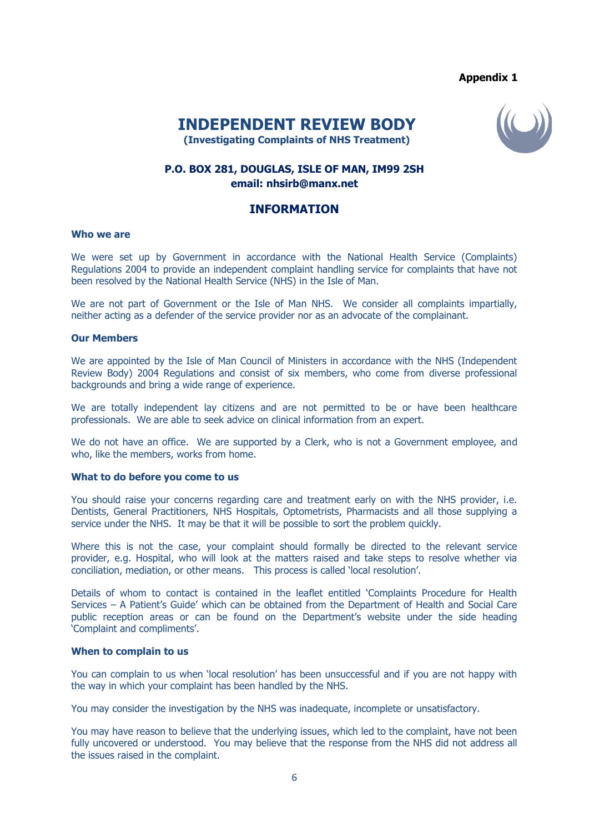## **Appendix 1**

# **INDEPENDENT REVIEW BODY**



 **(Investigating Complaints of NHS Treatment)**

## **P.O. BOX 281, DOUGLAS, ISLE OF MAN, IM99 2SH email: nhsirb@manx.net**

## **INFORMATION**

#### **Who we are**

We were set up by Government in accordance with the National Health Service (Complaints) Regulations 2004 to provide an independent complaint handling service for complaints that have not been resolved by the National Health Service (NHS) in the Isle of Man.

We are not part of Government or the Isle of Man NHS. We consider all complaints impartially, neither acting as a defender of the service provider nor as an advocate of the complainant.

#### **Our Members**

We are appointed by the Isle of Man Council of Ministers in accordance with the NHS (Independent Review Body) 2004 Regulations and consist of six members, who come from diverse professional backgrounds and bring a wide range of experience.

We are totally independent lay citizens and are not permitted to be or have been healthcare professionals. We are able to seek advice on clinical information from an expert.

We do not have an office. We are supported by a Clerk, who is not a Government employee, and who, like the members, works from home.

#### **What to do before you come to us**

You should raise your concerns regarding care and treatment early on with the NHS provider, i.e. Dentists, General Practitioners, NHS Hospitals, Optometrists, Pharmacists and all those supplying a service under the NHS. It may be that it will be possible to sort the problem quickly.

Where this is not the case, your complaint should formally be directed to the relevant service provider, e.g. Hospital, who will look at the matters raised and take steps to resolve whether via conciliation, mediation, or other means. This process is called 'local resolution'.

Details of whom to contact is contained in the leaflet entitled 'Complaints Procedure for Health Services – A Patient's Guide' which can be obtained from the Department of Health and Social Care public reception areas or can be found on the Department's website under the side heading 'Complaint and compliments'.

#### **When to complain to us**

You can complain to us when 'local resolution' has been unsuccessful and if you are not happy with the way in which your complaint has been handled by the NHS.

You may consider the investigation by the NHS was inadequate, incomplete or unsatisfactory.

You may have reason to believe that the underlying issues, which led to the complaint, have not been fully uncovered or understood. You may believe that the response from the NHS did not address all the issues raised in the complaint.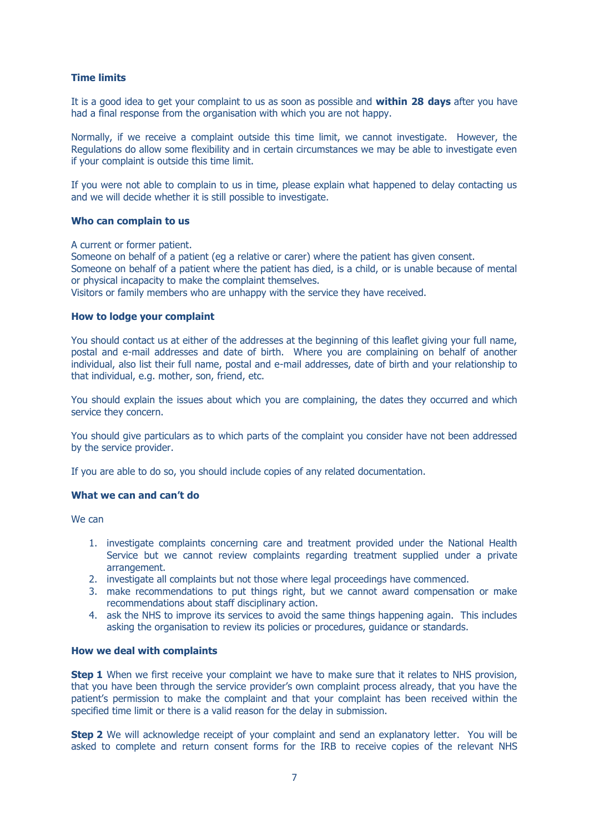## **Time limits**

It is a good idea to get your complaint to us as soon as possible and **within 28 days** after you have had a final response from the organisation with which you are not happy.

Normally, if we receive a complaint outside this time limit, we cannot investigate. However, the Regulations do allow some flexibility and in certain circumstances we may be able to investigate even if your complaint is outside this time limit.

If you were not able to complain to us in time, please explain what happened to delay contacting us and we will decide whether it is still possible to investigate.

#### **Who can complain to us**

A current or former patient.

Someone on behalf of a patient (eg a relative or carer) where the patient has given consent. Someone on behalf of a patient where the patient has died, is a child, or is unable because of mental or physical incapacity to make the complaint themselves.

Visitors or family members who are unhappy with the service they have received.

#### **How to lodge your complaint**

You should contact us at either of the addresses at the beginning of this leaflet giving your full name, postal and e-mail addresses and date of birth. Where you are complaining on behalf of another individual, also list their full name, postal and e-mail addresses, date of birth and your relationship to that individual, e.g. mother, son, friend, etc.

You should explain the issues about which you are complaining, the dates they occurred and which service they concern.

You should give particulars as to which parts of the complaint you consider have not been addressed by the service provider.

If you are able to do so, you should include copies of any related documentation.

#### **What we can and can't do**

We can

- 1. investigate complaints concerning care and treatment provided under the National Health Service but we cannot review complaints regarding treatment supplied under a private arrangement.
- 2. investigate all complaints but not those where legal proceedings have commenced.
- 3. make recommendations to put things right, but we cannot award compensation or make recommendations about staff disciplinary action.
- 4. ask the NHS to improve its services to avoid the same things happening again. This includes asking the organisation to review its policies or procedures, guidance or standards.

#### **How we deal with complaints**

**Step 1** When we first receive your complaint we have to make sure that it relates to NHS provision, that you have been through the service provider's own complaint process already, that you have the patient's permission to make the complaint and that your complaint has been received within the specified time limit or there is a valid reason for the delay in submission.

**Step 2** We will acknowledge receipt of your complaint and send an explanatory letter. You will be asked to complete and return consent forms for the IRB to receive copies of the relevant NHS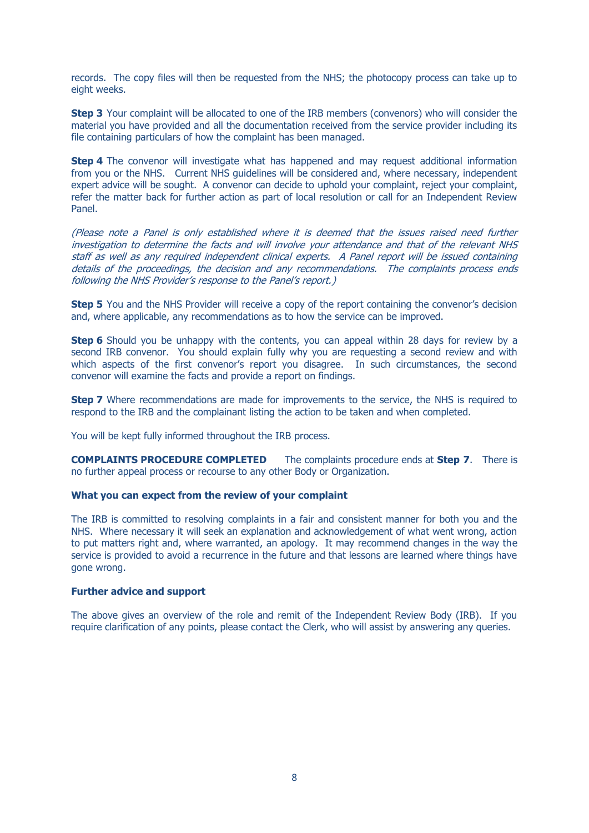records. The copy files will then be requested from the NHS; the photocopy process can take up to eight weeks.

**Step 3** Your complaint will be allocated to one of the IRB members (convenors) who will consider the material you have provided and all the documentation received from the service provider including its file containing particulars of how the complaint has been managed.

**Step 4** The convenor will investigate what has happened and may request additional information from you or the NHS. Current NHS guidelines will be considered and, where necessary, independent expert advice will be sought. A convenor can decide to uphold your complaint, reject your complaint, refer the matter back for further action as part of local resolution or call for an Independent Review Panel.

(Please note a Panel is only established where it is deemed that the issues raised need further investigation to determine the facts and will involve your attendance and that of the relevant NHS staff as well as any required independent clinical experts. A Panel report will be issued containing details of the proceedings, the decision and any recommendations. The complaints process ends following the NHS Provider's response to the Panel's report.)

**Step 5** You and the NHS Provider will receive a copy of the report containing the convenor's decision and, where applicable, any recommendations as to how the service can be improved.

**Step 6** Should you be unhappy with the contents, you can appeal within 28 days for review by a second IRB convenor. You should explain fully why you are requesting a second review and with which aspects of the first convenor's report you disagree. In such circumstances, the second convenor will examine the facts and provide a report on findings.

**Step 7** Where recommendations are made for improvements to the service, the NHS is required to respond to the IRB and the complainant listing the action to be taken and when completed.

You will be kept fully informed throughout the IRB process.

**COMPLAINTS PROCEDURE COMPLETED** The complaints procedure ends at **Step 7**. There is no further appeal process or recourse to any other Body or Organization.

#### **What you can expect from the review of your complaint**

The IRB is committed to resolving complaints in a fair and consistent manner for both you and the NHS. Where necessary it will seek an explanation and acknowledgement of what went wrong, action to put matters right and, where warranted, an apology. It may recommend changes in the way the service is provided to avoid a recurrence in the future and that lessons are learned where things have gone wrong.

#### **Further advice and support**

The above gives an overview of the role and remit of the Independent Review Body (IRB). If you require clarification of any points, please contact the Clerk, who will assist by answering any queries.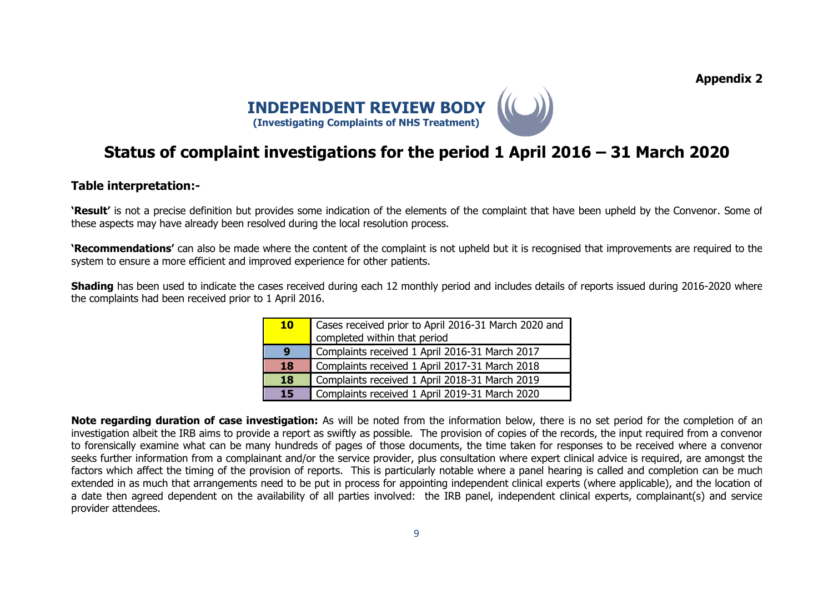**Appendix 2**



# **Status of complaint investigations for the period 1 April 2016 – 31 March 2020**

## **Table interpretation:-**

**'Result'** is not a precise definition but provides some indication of the elements of the complaint that have been upheld by the Convenor. Some of these aspects may have already been resolved during the local resolution process.

**'Recommendations'** can also be made where the content of the complaint is not upheld but it is recognised that improvements are required to the system to ensure a more efficient and improved experience for other patients.

**Shading** has been used to indicate the cases received during each 12 monthly period and includes details of reports issued during 2016-2020 where the complaints had been received prior to 1 April 2016.

| <b>10</b> | Cases received prior to April 2016-31 March 2020 and<br>completed within that period |  |  |  |  |  |
|-----------|--------------------------------------------------------------------------------------|--|--|--|--|--|
| 9         | Complaints received 1 April 2016-31 March 2017                                       |  |  |  |  |  |
| 18        | Complaints received 1 April 2017-31 March 2018                                       |  |  |  |  |  |
| 18        | Complaints received 1 April 2018-31 March 2019                                       |  |  |  |  |  |
| <b>15</b> | Complaints received 1 April 2019-31 March 2020                                       |  |  |  |  |  |

**Note regarding duration of case investigation:** As will be noted from the information below, there is no set period for the completion of an investigation albeit the IRB aims to provide a report as swiftly as possible. The provision of copies of the records, the input required from a convenor to forensically examine what can be many hundreds of pages of those documents, the time taken for responses to be received where a convenor seeks further information from a complainant and/or the service provider, plus consultation where expert clinical advice is required, are amongst the factors which affect the timing of the provision of reports. This is particularly notable where a panel hearing is called and completion can be much extended in as much that arrangements need to be put in process for appointing independent clinical experts (where applicable), and the location of a date then agreed dependent on the availability of all parties involved: the IRB panel, independent clinical experts, complainant(s) and service provider attendees.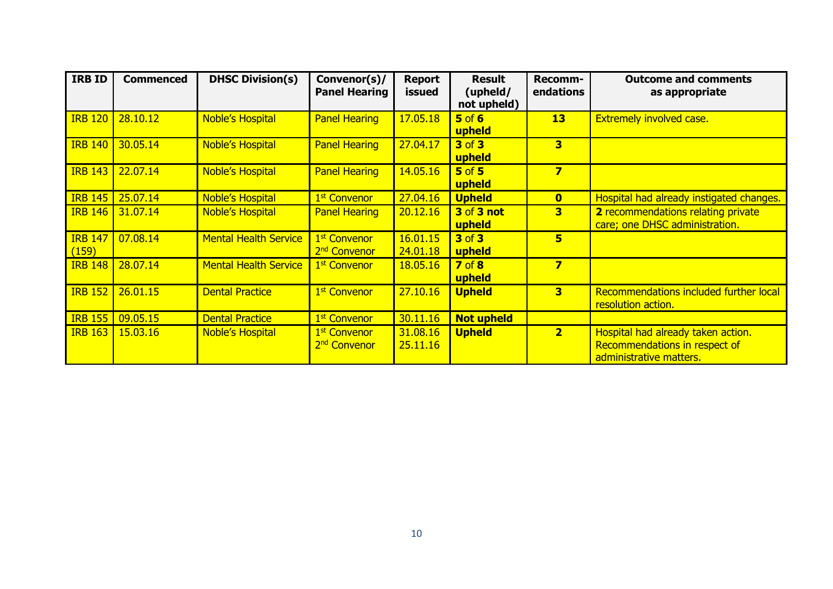| <b>IRB ID</b>           | <b>Commenced</b> | <b>DHSC Division(s)</b>      | Convenor(s)/<br><b>Panel Hearing</b>                 | <b>Report</b><br>issued | <b>Result</b><br>(upheld/<br>not upheld) | Recomm-<br>endations    | <b>Outcome and comments</b><br>as appropriate                                                  |
|-------------------------|------------------|------------------------------|------------------------------------------------------|-------------------------|------------------------------------------|-------------------------|------------------------------------------------------------------------------------------------|
| <b>IRB 120</b>          | 28.10.12         | <b>Noble's Hospital</b>      | <b>Panel Hearing</b>                                 | 17.05.18                | $5$ of $6$<br>upheld                     | 13                      | <b>Extremely involved case.</b>                                                                |
| <b>IRB 140</b>          | 30.05.14         | <b>Noble's Hospital</b>      | <b>Panel Hearing</b>                                 | 27.04.17                | <b>3 of 3</b><br>upheld                  | 3                       |                                                                                                |
| <b>IRB 143</b>          | 22.07.14         | <b>Noble's Hospital</b>      | <b>Panel Hearing</b>                                 | 14.05.16                | $5$ of $5$<br>upheld                     | 7                       |                                                                                                |
| <b>IRB 145</b>          | 25.07.14         | <b>Noble's Hospital</b>      | 1 <sup>st</sup> Convenor                             | 27.04.16                | <b>Upheld</b>                            | $\overline{\mathbf{0}}$ | Hospital had already instigated changes.                                                       |
| <b>IRB 146</b>          | 31,07.14         | <b>Noble's Hospital</b>      | <b>Panel Hearing</b>                                 | 20.12.16                | <b>3 of 3 not</b><br>upheld              | 3                       | 2 recommendations relating private<br>care; one DHSC administration.                           |
| <b>IRB 147</b><br>(159) | 07.08.14         | <b>Mental Health Service</b> | 1 <sup>st</sup> Convenor<br>2 <sup>nd</sup> Convenor | 16.01.15<br>24.01.18    | 3 of 3<br>upheld                         | 5                       |                                                                                                |
| <b>IRB 148</b>          | 28,07.14         | <b>Mental Health Service</b> | 1 <sup>st</sup> Convenor                             | 18.05.16                | 7 <sub>of</sub> 8<br>upheld              | 7                       |                                                                                                |
| <b>IRB 152</b>          | 26.01.15         | <b>Dental Practice</b>       | 1 <sup>st</sup> Convenor                             | 27.10.16                | <b>Upheld</b>                            | 3                       | Recommendations included further local<br>resolution action.                                   |
| <b>IRB 155</b>          | 09.05.15         | <b>Dental Practice</b>       | 1 <sup>st</sup> Convenor                             | 30.11.16                | <b>Not upheld</b>                        |                         |                                                                                                |
| <b>IRB 163</b>          | 15.03.16         | <b>Noble's Hospital</b>      | 1 <sup>st</sup> Convenor<br>2 <sup>nd</sup> Convenor | 31.08.16<br>25.11.16    | <b>Upheld</b>                            | $\overline{\mathbf{2}}$ | Hospital had already taken action.<br>Recommendations in respect of<br>administrative matters. |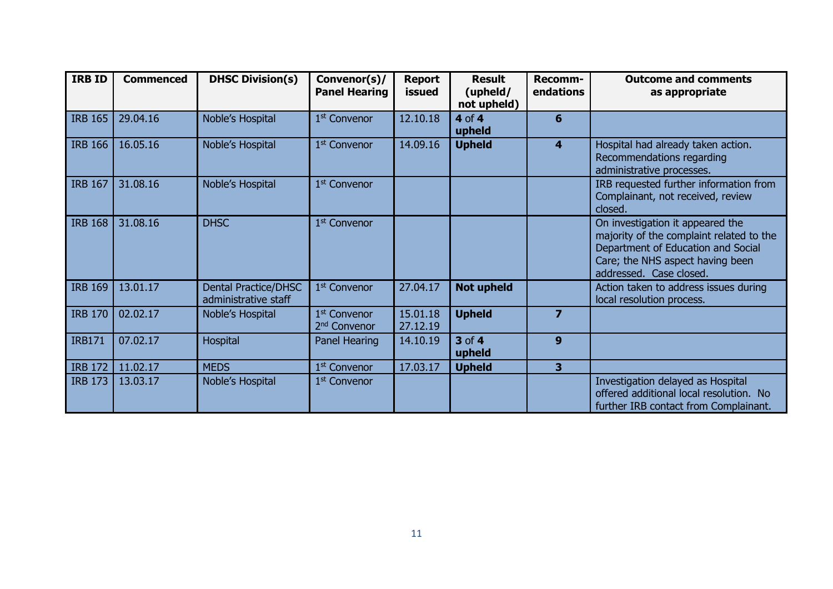| <b>IRB ID</b>  | <b>Commenced</b> | <b>DHSC Division(s)</b>                      | Convenor(s)/<br><b>Panel Hearing</b>                 | <b>Report</b><br>issued | <b>Result</b><br>(upheld/<br>not upheld) | Recomm-<br>endations | <b>Outcome and comments</b><br>as appropriate                                                                                                                                     |
|----------------|------------------|----------------------------------------------|------------------------------------------------------|-------------------------|------------------------------------------|----------------------|-----------------------------------------------------------------------------------------------------------------------------------------------------------------------------------|
| <b>IRB 165</b> | 29.04.16         | Noble's Hospital                             | 1 <sup>st</sup> Convenor                             | 12.10.18                | 4 of 4<br>upheld                         | 6                    |                                                                                                                                                                                   |
| <b>IRB 166</b> | 16.05.16         | Noble's Hospital                             | 1 <sup>st</sup> Convenor                             | 14.09.16                | <b>Upheld</b>                            | 4                    | Hospital had already taken action.<br>Recommendations regarding<br>administrative processes.                                                                                      |
| <b>IRB 167</b> | 31.08.16         | Noble's Hospital                             | 1 <sup>st</sup> Convenor                             |                         |                                          |                      | IRB requested further information from<br>Complainant, not received, review<br>closed.                                                                                            |
| <b>IRB 168</b> | 31.08.16         | <b>DHSC</b>                                  | 1 <sup>st</sup> Convenor                             |                         |                                          |                      | On investigation it appeared the<br>majority of the complaint related to the<br>Department of Education and Social<br>Care; the NHS aspect having been<br>addressed. Case closed. |
| <b>IRB 169</b> | 13.01.17         | Dental Practice/DHSC<br>administrative staff | 1 <sup>st</sup> Convenor                             | 27.04.17                | <b>Not upheld</b>                        |                      | Action taken to address issues during<br>local resolution process.                                                                                                                |
| <b>IRB 170</b> | 02.02.17         | Noble's Hospital                             | 1 <sup>st</sup> Convenor<br>2 <sup>nd</sup> Convenor | 15.01.18<br>27.12.19    | <b>Upheld</b>                            | $\overline{z}$       |                                                                                                                                                                                   |
| <b>IRB171</b>  | 07.02.17         | Hospital                                     | Panel Hearing                                        | 14.10.19                | 3 of 4<br>upheld                         | 9                    |                                                                                                                                                                                   |
| <b>IRB 172</b> | 11.02.17         | <b>MEDS</b>                                  | 1 <sup>st</sup> Convenor                             | 17.03.17                | <b>Upheld</b>                            | 3                    |                                                                                                                                                                                   |
| <b>IRB 173</b> | 13.03.17         | Noble's Hospital                             | 1 <sup>st</sup> Convenor                             |                         |                                          |                      | Investigation delayed as Hospital<br>offered additional local resolution. No<br>further IRB contact from Complainant.                                                             |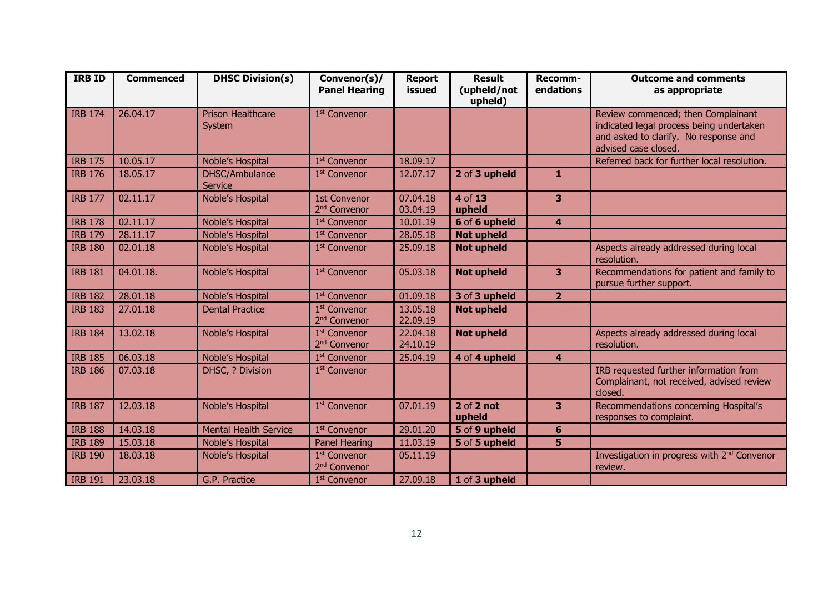| <b>IRB ID</b>  | <b>Commenced</b> | <b>DHSC Division(s)</b>            | Convenor(s)/<br><b>Panel Hearing</b>                 | <b>Report</b><br>issued | <b>Result</b><br>(upheld/not<br>upheld) | Recomm-<br>endations    | <b>Outcome and comments</b><br>as appropriate                                                                                                   |
|----------------|------------------|------------------------------------|------------------------------------------------------|-------------------------|-----------------------------------------|-------------------------|-------------------------------------------------------------------------------------------------------------------------------------------------|
| <b>IRB 174</b> | 26.04.17         | <b>Prison Healthcare</b><br>System | 1 <sup>st</sup> Convenor                             |                         |                                         |                         | Review commenced; then Complainant<br>indicated legal process being undertaken<br>and asked to clarify. No response and<br>advised case closed. |
| <b>IRB 175</b> | 10.05.17         | Noble's Hospital                   | 1 <sup>st</sup> Convenor                             | 18.09.17                |                                         |                         | Referred back for further local resolution.                                                                                                     |
| <b>IRB 176</b> | 18.05.17         | DHSC/Ambulance<br><b>Service</b>   | 1 <sup>st</sup> Convenor                             | 12.07.17                | 2 of 3 upheld                           | 1                       |                                                                                                                                                 |
| <b>IRB 177</b> | 02.11.17         | Noble's Hospital                   | <b>1st Convenor</b><br>2 <sup>nd</sup> Convenor      | 07.04.18<br>03.04.19    | 4 of 13<br>upheld                       | 3                       |                                                                                                                                                 |
| <b>IRB 178</b> | 02.11.17         | Noble's Hospital                   | 1 <sup>st</sup> Convenor                             | 10.01.19                | 6 of 6 upheld                           | 4                       |                                                                                                                                                 |
| <b>IRB 179</b> | 28.11.17         | Noble's Hospital                   | 1 <sup>st</sup> Convenor                             | 28.05.18                | <b>Not upheld</b>                       |                         |                                                                                                                                                 |
| <b>IRB 180</b> | 02.01.18         | Noble's Hospital                   | 1 <sup>st</sup> Convenor                             | 25.09.18                | <b>Not upheld</b>                       |                         | Aspects already addressed during local<br>resolution.                                                                                           |
| <b>IRB 181</b> | 04.01.18.        | Noble's Hospital                   | 1 <sup>st</sup> Convenor                             | 05.03.18                | <b>Not upheld</b>                       | 3                       | Recommendations for patient and family to<br>pursue further support.                                                                            |
| <b>IRB 182</b> | 28.01.18         | Noble's Hospital                   | 1 <sup>st</sup> Convenor                             | 01.09.18                | 3 of 3 upheld                           | 2 <sup>1</sup>          |                                                                                                                                                 |
| <b>IRB 183</b> | 27.01.18         | <b>Dental Practice</b>             | 1 <sup>st</sup> Convenor<br>2 <sup>nd</sup> Convenor | 13.05.18<br>22.09.19    | <b>Not upheld</b>                       |                         |                                                                                                                                                 |
| <b>IRB 184</b> | 13.02.18         | Noble's Hospital                   | 1 <sup>st</sup> Convenor<br>2 <sup>nd</sup> Convenor | 22.04.18<br>24.10.19    | <b>Not upheld</b>                       |                         | Aspects already addressed during local<br>resolution.                                                                                           |
| <b>IRB 185</b> | 06.03.18         | Noble's Hospital                   | 1 <sup>st</sup> Convenor                             | 25.04.19                | 4 of 4 upheld                           | $\overline{\mathbf{4}}$ |                                                                                                                                                 |
| <b>IRB 186</b> | 07.03.18         | DHSC, ? Division                   | 1 <sup>st</sup> Convenor                             |                         |                                         |                         | IRB requested further information from<br>Complainant, not received, advised review<br>closed.                                                  |
| <b>IRB 187</b> | 12.03.18         | Noble's Hospital                   | 1 <sup>st</sup> Convenor                             | 07.01.19                | $2$ of $2$ not<br>upheld                | 3                       | Recommendations concerning Hospital's<br>responses to complaint.                                                                                |
| <b>IRB 188</b> | 14.03.18         | <b>Mental Health Service</b>       | 1 <sup>st</sup> Convenor                             | 29.01.20                | 5 of 9 upheld                           | $6\phantom{1}$          |                                                                                                                                                 |
| <b>IRB 189</b> | 15.03.18         | Noble's Hospital                   | <b>Panel Hearing</b>                                 | 11.03.19                | 5 of 5 upheld                           | 5                       |                                                                                                                                                 |
| <b>IRB 190</b> | 18.03.18         | Noble's Hospital                   | 1 <sup>st</sup> Convenor<br>2 <sup>nd</sup> Convenor | 05.11.19                |                                         |                         | Investigation in progress with 2 <sup>nd</sup> Convenor<br>review.                                                                              |
| <b>IRB 191</b> | 23.03.18         | G.P. Practice                      | 1 <sup>st</sup> Convenor                             | 27.09.18                | 1 of 3 upheld                           |                         |                                                                                                                                                 |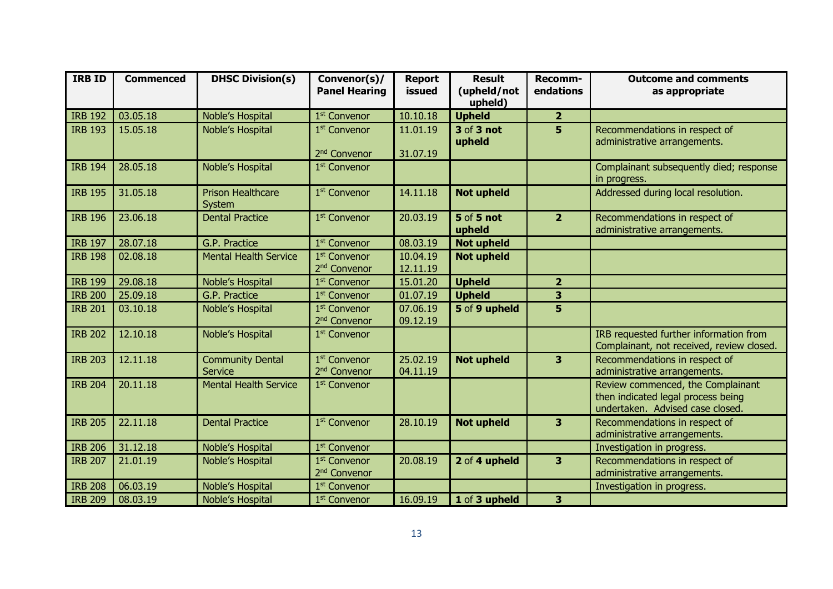| IRB ID         | <b>Commenced</b> | <b>DHSC Division(s)</b>                   | Convenor(s)/<br><b>Panel Hearing</b>                 | <b>Report</b><br>issued | <b>Result</b><br>(upheld/not<br>upheld) | Recomm-<br>endations    | <b>Outcome and comments</b><br>as appropriate                                                               |
|----------------|------------------|-------------------------------------------|------------------------------------------------------|-------------------------|-----------------------------------------|-------------------------|-------------------------------------------------------------------------------------------------------------|
| <b>IRB 192</b> | 03.05.18         | Noble's Hospital                          | 1 <sup>st</sup> Convenor                             | 10.10.18                | <b>Upheld</b>                           | $\overline{2}$          |                                                                                                             |
| <b>IRB 193</b> | 15.05.18         | Noble's Hospital                          | 1 <sup>st</sup> Convenor<br>2 <sup>nd</sup> Convenor | 11.01.19<br>31.07.19    | 3 of 3 not<br>upheld                    | 5                       | Recommendations in respect of<br>administrative arrangements.                                               |
| <b>IRB 194</b> | 28.05.18         | Noble's Hospital                          | 1 <sup>st</sup> Convenor                             |                         |                                         |                         | Complainant subsequently died; response<br>in progress.                                                     |
| <b>IRB 195</b> | 31.05.18         | <b>Prison Healthcare</b><br>System        | 1 <sup>st</sup> Convenor                             | 14.11.18                | <b>Not upheld</b>                       |                         | Addressed during local resolution.                                                                          |
| <b>IRB 196</b> | 23.06.18         | <b>Dental Practice</b>                    | 1 <sup>st</sup> Convenor                             | 20.03.19                | <b>5</b> of 5 not<br>upheld             | $\overline{2}$          | Recommendations in respect of<br>administrative arrangements.                                               |
| <b>IRB 197</b> | 28.07.18         | G.P. Practice                             | 1 <sup>st</sup> Convenor                             | 08.03.19                | <b>Not upheld</b>                       |                         |                                                                                                             |
| <b>IRB 198</b> | 02.08.18         | <b>Mental Health Service</b>              | 1st Convenor<br>2 <sup>nd</sup> Convenor             | 10.04.19<br>12.11.19    | <b>Not upheld</b>                       |                         |                                                                                                             |
| <b>IRB 199</b> | 29.08.18         | Noble's Hospital                          | 1 <sup>st</sup> Convenor                             | 15.01.20                | <b>Upheld</b>                           | $\overline{\mathbf{2}}$ |                                                                                                             |
| <b>IRB 200</b> | 25.09.18         | G.P. Practice                             | 1 <sup>st</sup> Convenor                             | 01.07.19                | <b>Upheld</b>                           | $\overline{\mathbf{3}}$ |                                                                                                             |
| <b>IRB 201</b> | 03.10.18         | Noble's Hospital                          | 1 <sup>st</sup> Convenor<br>2 <sup>nd</sup> Convenor | 07.06.19<br>09.12.19    | 5 of 9 upheld                           | 5                       |                                                                                                             |
| <b>IRB 202</b> | 12.10.18         | Noble's Hospital                          | 1 <sup>st</sup> Convenor                             |                         |                                         |                         | IRB requested further information from<br>Complainant, not received, review closed.                         |
| <b>IRB 203</b> | 12.11.18         | <b>Community Dental</b><br><b>Service</b> | 1 <sup>st</sup> Convenor<br>2 <sup>nd</sup> Convenor | 25.02.19<br>04.11.19    | <b>Not upheld</b>                       | 3                       | Recommendations in respect of<br>administrative arrangements.                                               |
| <b>IRB 204</b> | 20.11.18         | <b>Mental Health Service</b>              | 1 <sup>st</sup> Convenor                             |                         |                                         |                         | Review commenced, the Complainant<br>then indicated legal process being<br>undertaken. Advised case closed. |
| <b>IRB 205</b> | 22.11.18         | <b>Dental Practice</b>                    | 1 <sup>st</sup> Convenor                             | 28.10.19                | <b>Not upheld</b>                       | 3                       | Recommendations in respect of<br>administrative arrangements.                                               |
| <b>IRB 206</b> | 31.12.18         | Noble's Hospital                          | 1 <sup>st</sup> Convenor                             |                         |                                         |                         | Investigation in progress.                                                                                  |
| <b>IRB 207</b> | 21.01.19         | Noble's Hospital                          | 1 <sup>st</sup> Convenor<br>2 <sup>nd</sup> Convenor | 20.08.19                | 2 of 4 upheld                           | 3                       | Recommendations in respect of<br>administrative arrangements.                                               |
| <b>IRB 208</b> | 06.03.19         | Noble's Hospital                          | 1 <sup>st</sup> Convenor                             |                         |                                         |                         | Investigation in progress.                                                                                  |
| <b>IRB 209</b> | 08.03.19         | Noble's Hospital                          | 1 <sup>st</sup> Convenor                             | 16.09.19                | 1 of 3 upheld                           | 3                       |                                                                                                             |